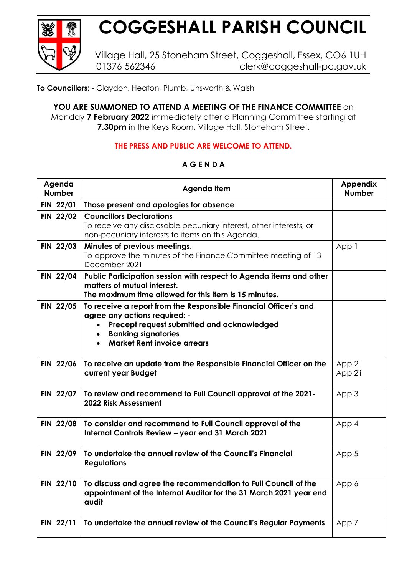

## **COGGESHALL PARISH COUNCIL**

Village Hall, 25 Stoneham Street, Coggeshall, Essex, CO6 1UH 01376 562346 clerk@coggeshall-pc.gov.uk

**To Councillors**: - Claydon, Heaton, Plumb, Unsworth & Walsh

**YOU ARE SUMMONED TO ATTEND A MEETING OF THE FINANCE COMMITTEE** on Monday **7 February 2022** immediately after a Planning Committee starting at **7.30pm** in the Keys Room, Village Hall, Stoneham Street.

## **THE PRESS AND PUBLIC ARE WELCOME TO ATTEND.**

## **Agenda Number Agenda Item Appendix Number FIN 22/01 Those present and apologies for absence FIN 22/02 Councillors Declarations** To receive any disclosable pecuniary interest, other interests, or non-pecuniary interests to items on this Agenda. **FIN 22/03 Minutes of previous meetings.** To approve the minutes of the Finance Committee meeting of 13 December 2021 App 1 **FIN 22/04 Public Participation session with respect to Agenda items and other matters of mutual interest. The maximum time allowed for this item is 15 minutes. FIN 22/05 To receive a report from the Responsible Financial Officer's and agree any actions required: -** • **Precept request submitted and acknowledged**  • **Banking signatories**  • **Market Rent invoice arrears FIN 22/06 To receive an update from the Responsible Financial Officer on the current year Budget** App 2i App 2ii **FIN 22/07 To review and recommend to Full Council approval of the 2021- 2022 Risk Assessment**  App 3 **FIN 22/08 To consider and recommend to Full Council approval of the Internal Controls Review – year end 31 March 2021** App 4 **FIN 22/09 To undertake the annual review of the Council's Financial Regulations**  App 5 **FIN 22/10 To discuss and agree the recommendation to Full Council of the appointment of the Internal Auditor for the 31 March 2021 year end audit**  App 6 **FIN 22/11** To undertake the annual review of the Council's Regular Payments | App 7

## **A G E N D A**